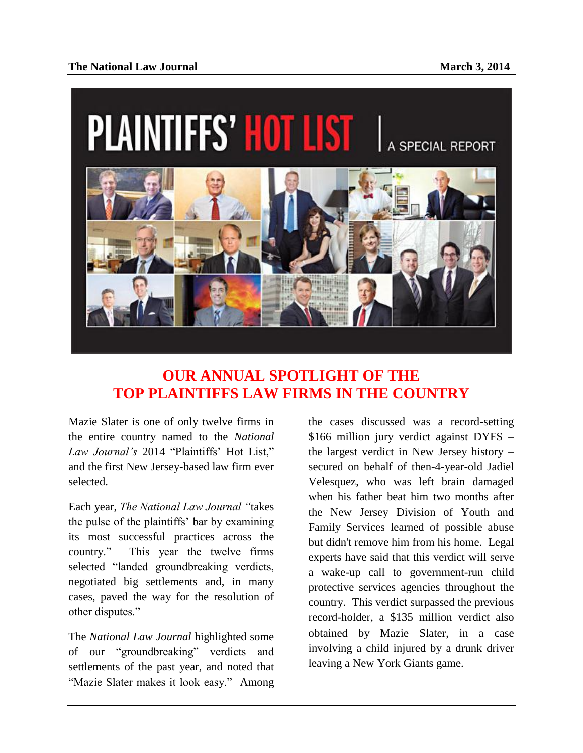

## **OUR ANNUAL SPOTLIGHT OF THE TOP PLAINTIFFS LAW FIRMS IN THE COUNTRY**

Mazie Slater is one of only twelve firms in the entire country named to the *National Law Journal's* 2014 "Plaintiffs' Hot List," and the first New Jersey-based law firm ever selected.

Each year, *The National Law Journal "*takes the pulse of the plaintiffs' bar by examining its most successful practices across the country." This year the twelve firms selected "landed groundbreaking verdicts, negotiated big settlements and, in many cases, paved the way for the resolution of other disputes."

The *National Law Journal* highlighted some of our "groundbreaking" verdicts and settlements of the past year, and noted that "Mazie Slater makes it look easy." Among

the cases discussed was a record-setting \$166 million jury verdict against DYFS – the largest verdict in New Jersey history – secured on behalf of then-4-year-old Jadiel Velesquez, who was left brain damaged when his father beat him two months after the New Jersey Division of Youth and Family Services learned of possible abuse but didn't remove him from his home. Legal experts have said that this verdict will serve a wake-up call to government-run child protective services agencies throughout the country. This verdict surpassed the previous record-holder, a \$135 million verdict also obtained by Mazie Slater, in a case involving a child injured by a drunk driver leaving a New York Giants game.